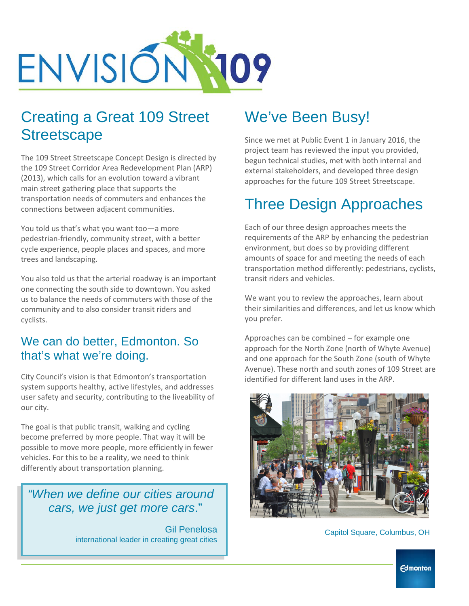

## Creating a Great 109 Street **Streetscape**

The 109 Street Streetscape Concept Design is directed by the 109 Street Corridor Area Redevelopment Plan (ARP) (2013), which calls for an evolution toward a vibrant main street gathering place that supports the transportation needs of commuters and enhances the connections between adjacent communities.

You told us that's what you want too—a more pedestrian-friendly, community street, with a better cycle experience, people places and spaces, and more trees and landscaping.

You also told us that the arterial roadway is an important one connecting the south side to downtown. You asked us to balance the needs of commuters with those of the community and to also consider transit riders and cyclists.

#### We can do better, Edmonton. So that's what we're doing.

City Council's vision is that Edmonton's transportation system supports healthy, active lifestyles, and addresses user safety and security, contributing to the liveability of our city.

The goal is that public transit, walking and cycling become preferred by more people. That way it will be possible to move more people, more efficiently in fewer vehicles. For this to be a reality, we need to think differently about transportation planning.

 *"When we define our cities around cars, we just get more cars*."

> Gil Penelosa international leader in creating great cities

#### We've Been Busy!

Since we met at Public Event 1 in January 2016, the project team has reviewed the input you provided, begun technical studies, met with both internal and external stakeholders, and developed three design approaches for the future 109 Street Streetscape.

# Three Design Approaches

Each of our three design approaches meets the requirements of the ARP by enhancing the pedestrian environment, but does so by providing different amounts of space for and meeting the needs of each transportation method differently: pedestrians, cyclists, transit riders and vehicles.

We want you to review the approaches, learn about their similarities and differences, and let us know which you prefer.

Approaches can be combined – for example one approach for the North Zone (north of Whyte Avenue) and one approach for the South Zone (south of Whyte Avenue). These north and south zones of 109 Street are identified for different land uses in the ARP.



Capitol Square, Columbus, OH

**Edmonton**